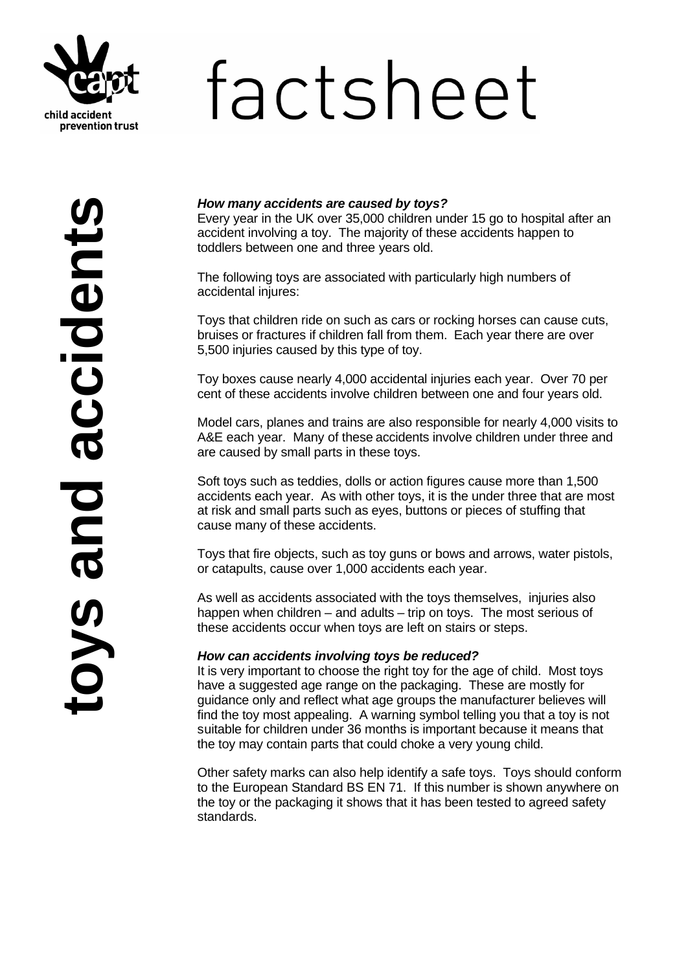

# factsheet

# *How many accidents are caused by toys?*

Every year in the UK over 35,000 children under 15 go to hospital after an accident involving a toy. The majority of these accidents happen to toddlers between one and three years old.

The following toys are associated with particularly high numbers of accidental injures:

Toys that children ride on such as cars or rocking horses can cause cuts, bruises or fractures if children fall from them. Each year there are over 5,500 injuries caused by this type of toy.

Toy boxes cause nearly 4,000 accidental injuries each year. Over 70 per cent of these accidents involve children between one and four years old.

Model cars, planes and trains are also responsible for nearly 4,000 visits to A&E each year. Many of these accidents involve children under three and are caused by small parts in these toys.

Soft toys such as teddies, dolls or action figures cause more than 1,500 accidents each year. As with other toys, it is the under three that are most at risk and small parts such as eyes, buttons or pieces of stuffing that cause many of these accidents.

Toys that fire objects, such as toy guns or bows and arrows, water pistols, or catapults, cause over 1,000 accidents each year.

As well as accidents associated with the toys themselves, injuries also happen when children – and adults – trip on toys. The most serious of these accidents occur when toys are left on stairs or steps.

### *How can accidents involving toys be reduced?*

It is very important to choose the right toy for the age of child. Most toys have a suggested age range on the packaging. These are mostly for guidance only and reflect what age groups the manufacturer believes will find the toy most appealing. A warning symbol telling you that a toy is not suitable for children under 36 months is important because it means that the toy may contain parts that could choke a very young child.

Other safety marks can also help identify a safe toys. Toys should conform to the European Standard BS EN 71. If this number is shown anywhere on the toy or the packaging it shows that it has been tested to agreed safety standards.